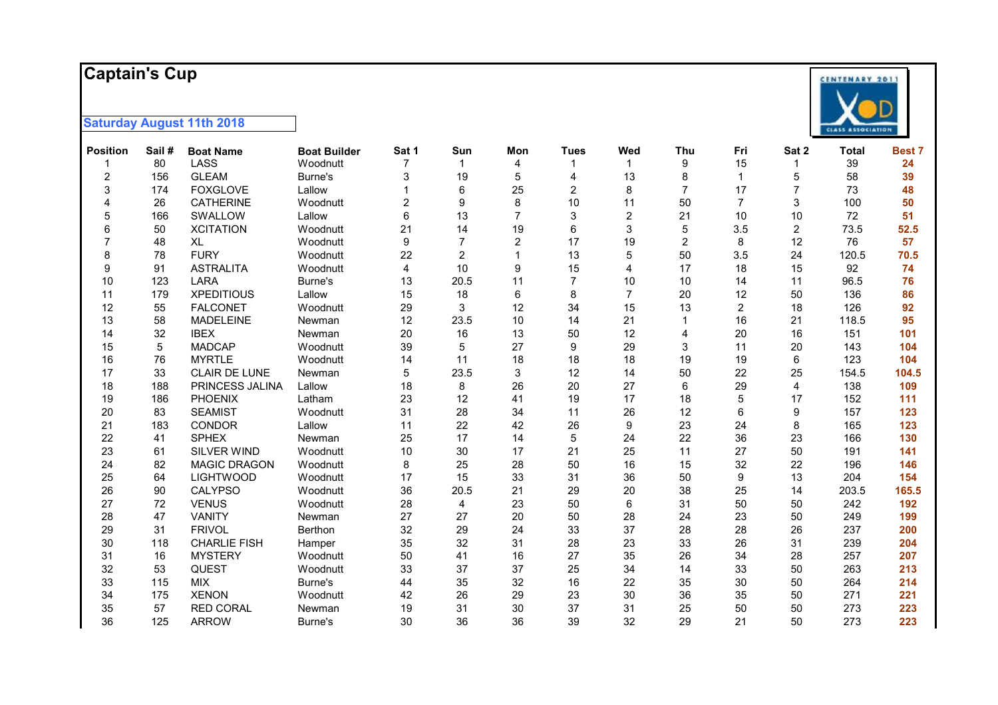#### **Captain's Cup**



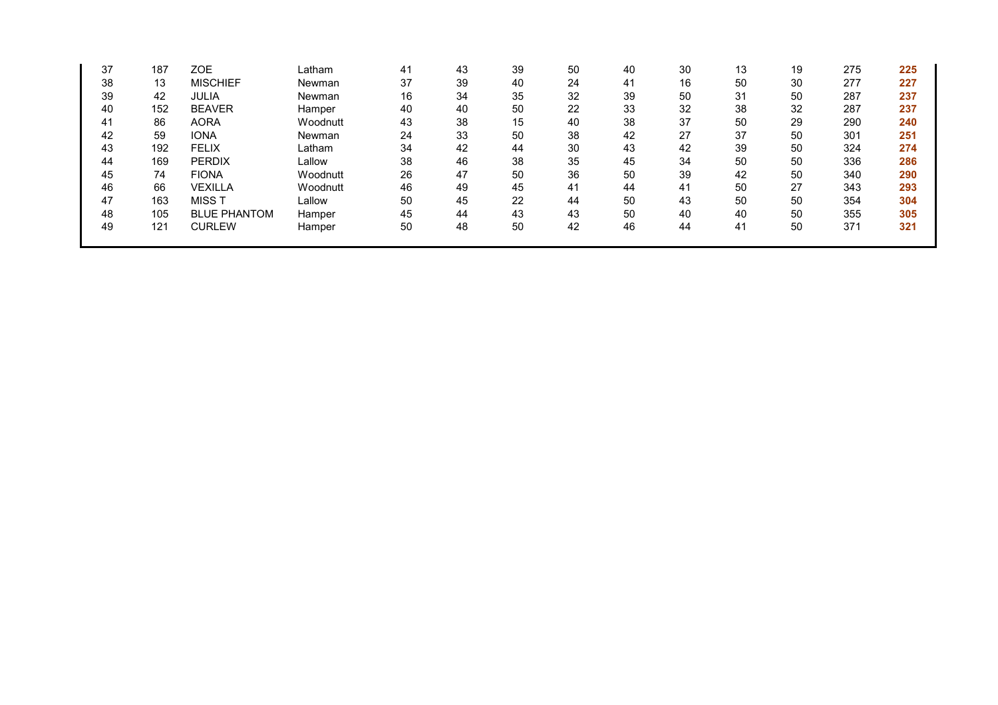| 37 | 187 | <b>ZOE</b>          | Latham   | 41 | 43 | 39 | 50 | 40 | 30 | 13 | 19 | 275 | 225 |
|----|-----|---------------------|----------|----|----|----|----|----|----|----|----|-----|-----|
| 38 | 13  | <b>MISCHIEF</b>     | Newman   | 37 | 39 | 40 | 24 | 41 | 16 | 50 | 30 | 277 | 227 |
| 39 | 42  | <b>JULIA</b>        | Newman   | 16 | 34 | 35 | 32 | 39 | 50 | 31 | 50 | 287 | 237 |
| 40 | 152 | <b>BEAVER</b>       | Hamper   | 40 | 40 | 50 | 22 | 33 | 32 | 38 | 32 | 287 | 237 |
| 41 | 86  | <b>AORA</b>         | Woodnutt | 43 | 38 | 15 | 40 | 38 | 37 | 50 | 29 | 290 | 240 |
| 42 | 59  | <b>IONA</b>         | Newman   | 24 | 33 | 50 | 38 | 42 | 27 | 37 | 50 | 301 | 251 |
| 43 | 192 | <b>FELIX</b>        | Latham   | 34 | 42 | 44 | 30 | 43 | 42 | 39 | 50 | 324 | 274 |
| 44 | 169 | <b>PERDIX</b>       | Lallow   | 38 | 46 | 38 | 35 | 45 | 34 | 50 | 50 | 336 | 286 |
| 45 | 74  | <b>FIONA</b>        | Woodnutt | 26 | 47 | 50 | 36 | 50 | 39 | 42 | 50 | 340 | 290 |
| 46 | 66  | <b>VEXILLA</b>      | Woodnutt | 46 | 49 | 45 | 41 | 44 | 41 | 50 | 27 | 343 | 293 |
| 47 | 163 | MISS T              | Lallow   | 50 | 45 | 22 | 44 | 50 | 43 | 50 | 50 | 354 | 304 |
| 48 | 105 | <b>BLUE PHANTOM</b> | Hamper   | 45 | 44 | 43 | 43 | 50 | 40 | 40 | 50 | 355 | 305 |
| 49 | 121 | <b>CURLEW</b>       | Hamper   | 50 | 48 | 50 | 42 | 46 | 44 | 41 | 50 | 371 | 321 |
|    |     |                     |          |    |    |    |    |    |    |    |    |     |     |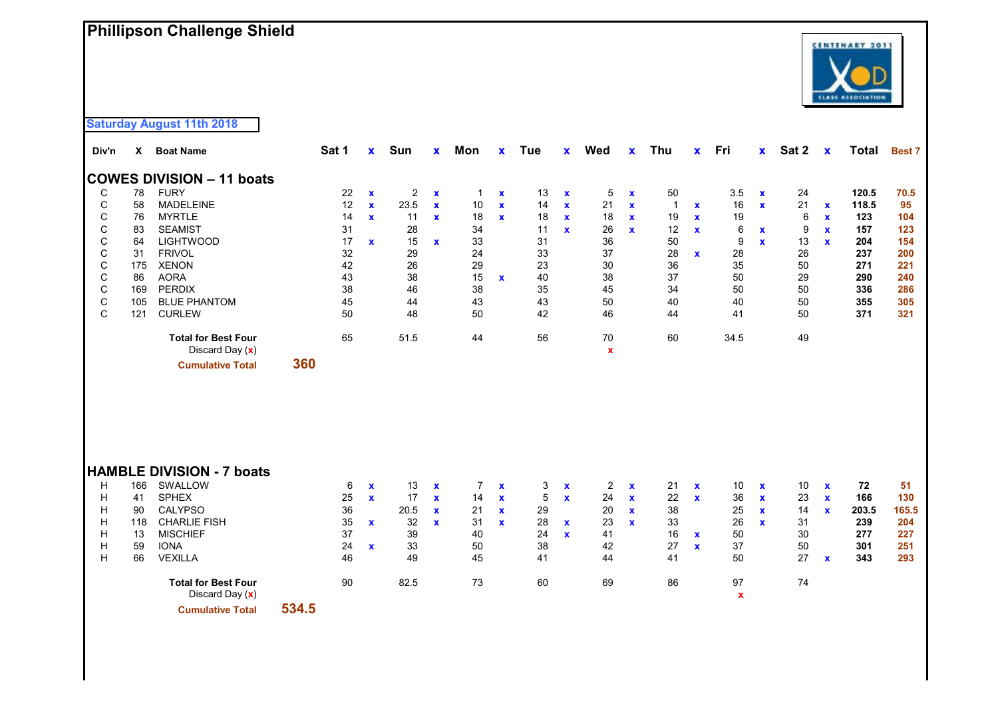# **Phillipson Challenge Shield**



**Saturday August 11th 2018**

| Div'n       | X   | <b>Boat Name</b>                              | Sat 1 | $\mathbf x$  | Sun            | $\mathbf{x}$ | Mon            | X                  | Tue | $\mathbf{x}$ | Wed               | $\mathbf{x}$ | <b>Thu</b>     | $\mathbf{x}$ | Fri                      | $\mathbf{x}$ | Sat 2 | $\mathbf x$  | Total | <b>Best 7</b> |
|-------------|-----|-----------------------------------------------|-------|--------------|----------------|--------------|----------------|--------------------|-----|--------------|-------------------|--------------|----------------|--------------|--------------------------|--------------|-------|--------------|-------|---------------|
|             |     | <b>COWES DIVISION - 11 boats</b>              |       |              |                |              |                |                    |     |              |                   |              |                |              |                          |              |       |              |       |               |
| C           | 78  | <b>FURY</b>                                   | 22    | $\mathbf x$  | $\overline{c}$ | $\mathbf x$  | $\mathbf{1}$   | $\pmb{\mathsf{x}}$ | 13  | $\mathbf x$  | 5                 | $\mathbf x$  | 50             |              | 3.5                      | $\mathbf x$  | 24    |              | 120.5 | 70.5          |
| $\mathsf C$ | 58  | <b>MADELEINE</b>                              | 12    | $\mathbf{x}$ | 23.5           | $\mathbf x$  | $10$           | $\mathbf{x}$       | 14  | $\mathbf{x}$ | 21                | $\mathbf x$  | $\overline{1}$ | $\mathbf x$  | 16                       | $\mathbf{x}$ | 21    | $\mathbf x$  | 118.5 | 95            |
| C           | 76  | <b>MYRTLE</b>                                 | 14    | $\mathbf{x}$ | 11             | $\mathbf{x}$ | 18             | $\mathbf{x}$       | 18  | $\mathbf{x}$ | 18                | $\mathbf x$  | 19             | $\mathbf x$  | 19                       |              | 6     | $\mathbf x$  | 123   | 104           |
| $\mathsf C$ | 83  | <b>SEAMIST</b>                                | 31    |              | 28             |              | 34             |                    | 11  | $\mathbf{x}$ | 26                | $\mathbf{x}$ | 12             | $\mathbf{x}$ | 6                        | $\mathbf{x}$ | 9     | $\mathbf{x}$ | 157   | 123           |
| C           | 64  | <b>LIGHTWOOD</b>                              | 17    | $\mathbf{x}$ | 15             | $\mathbf{x}$ | 33             |                    | 31  |              | 36                |              | 50             |              | 9                        | $\mathbf{x}$ | 13    | $\mathbf{x}$ | 204   | 154           |
| $\mathsf C$ | 31  | <b>FRIVOL</b>                                 | 32    |              | 29             |              | 24             |                    | 33  |              | 37                |              | 28             | $\mathbf x$  | 28                       |              | 26    |              | 237   | 200           |
| $\mathsf C$ | 175 | <b>XENON</b>                                  | 42    |              | 26             |              | 29             |                    | 23  |              | 30                |              | 36             |              | 35                       |              | 50    |              | 271   | 221           |
| $\mathsf C$ | 86  | <b>AORA</b>                                   | 43    |              | 38             |              | 15             | $\mathbf{x}$       | 40  |              | 38                |              | 37             |              | 50                       |              | 29    |              | 290   | 240           |
| $\mathsf C$ | 169 | <b>PERDIX</b>                                 | 38    |              | 46             |              | 38             |                    | 35  |              | 45                |              | 34             |              | 50                       |              | 50    |              | 336   | 286           |
| $\mathsf C$ | 105 | <b>BLUE PHANTOM</b>                           | 45    |              | 44             |              | 43             |                    | 43  |              | 50                |              | 40             |              | 40                       |              | 50    |              | 355   | 305           |
| $\mathsf C$ | 121 | <b>CURLEW</b>                                 | 50    |              | 48             |              | 50             |                    | 42  |              | 46                |              | 44             |              | 41                       |              | 50    |              | 371   | 321           |
|             |     | <b>Total for Best Four</b><br>Discard Day (x) | 65    |              | 51.5           |              | 44             |                    | 56  |              | 70<br>$\mathbf x$ |              | 60             |              | 34.5                     |              | 49    |              |       |               |
|             |     | <b>Cumulative Total</b>                       | 360   |              |                |              |                |                    |     |              |                   |              |                |              |                          |              |       |              |       |               |
|             |     |                                               |       |              |                |              |                |                    |     |              |                   |              |                |              |                          |              |       |              |       |               |
|             |     | <b>HAMBLE DIVISION - 7 boats</b>              |       |              |                |              |                |                    |     |              |                   |              |                |              |                          |              |       |              |       |               |
| н           | 166 | SWALLOW                                       | 6     | $\mathbf x$  | 13             | $\mathbf x$  | $\overline{7}$ | $\mathbf x$        | 3   | $\mathbf x$  | $\overline{2}$    | $\mathbf x$  | 21             | $\mathbf x$  | 10                       | $\mathbf x$  | 10    | $\mathbf{x}$ | 72    | 51            |
| Н           | 41  | <b>SPHEX</b>                                  | 25    | $\mathbf{x}$ | 17             | $\mathbf{x}$ | 14             | $\mathbf x$        | 5   | $\mathbf{x}$ | 24                | $\mathbf x$  | 22             | $\mathbf{x}$ | 36                       | $\mathbf{x}$ | 23    | $\mathbf{x}$ | 166   | 130           |
| Н           | 90  | <b>CALYPSO</b>                                | 36    |              | 20.5           | $\mathbf x$  | 21             | $\mathbf x$        | 29  |              | 20                | $\mathbf{x}$ | 38             |              | 25                       | $\mathbf{x}$ | 14    | $\mathbf{x}$ | 203.5 | 165.5         |
| Н           | 118 | <b>CHARLIE FISH</b>                           | 35    | $\mathbf x$  | 32             | $\mathbf x$  | 31             | $\mathbf x$        | 28  | $\mathbf x$  | 23                | $\mathbf{x}$ | 33             |              | 26                       | $\mathbf{x}$ | 31    |              | 239   | 204           |
| Н           | 13  | <b>MISCHIEF</b>                               | 37    |              | 39             |              | 40             |                    | 24  | $\mathbf{x}$ | 41                |              | 16             | $\mathbf{x}$ | 50                       |              | 30    |              | 277   | 227           |
| H           | 59  | <b>IONA</b>                                   | 24    | $\mathbf{x}$ | 33             |              | 50             |                    | 38  |              | 42                |              | 27             | $\mathbf x$  | 37                       |              | 50    |              | 301   | 251           |
| н           | 66  | <b>VEXILLA</b>                                | 46    |              | 49             |              | 45             |                    | 41  |              | 44                |              | 41             |              | 50                       |              | 27    | $\mathbf{x}$ | 343   | 293           |
|             |     | <b>Total for Best Four</b><br>Discard Day (x) | 90    |              | 82.5           |              | 73             |                    | 60  |              | 69                |              | 86             |              | 97<br>$\pmb{\mathsf{x}}$ |              | 74    |              |       |               |

**Cumulative Total 534.5**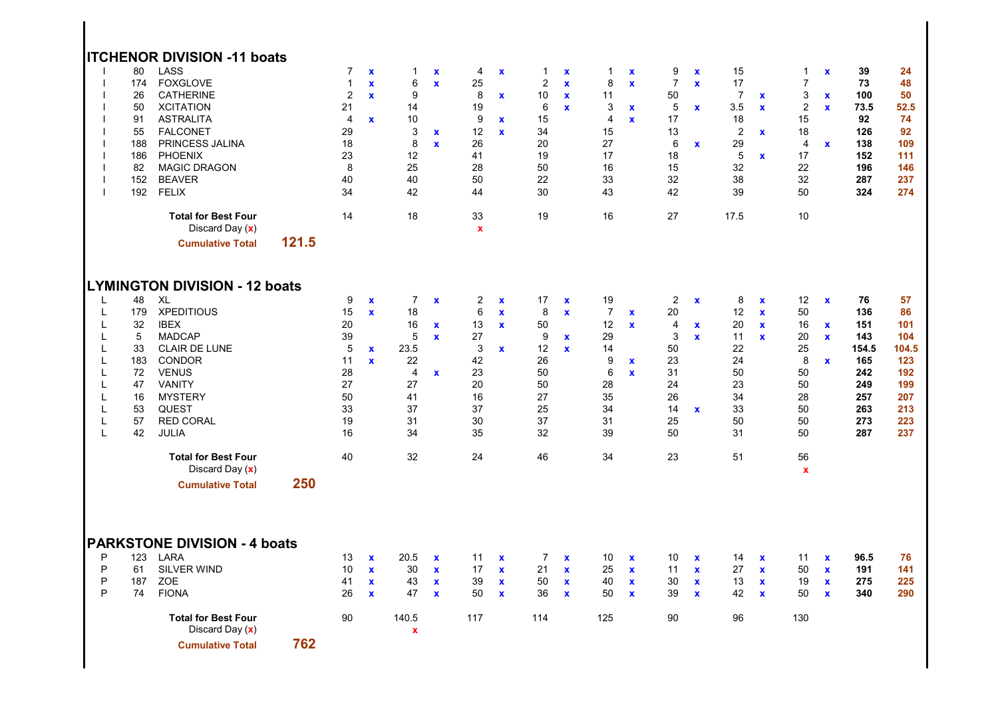|                                                          |                                                                       | <b>ITCHENOR DIVISION -11 boats</b>                                                                                                                                                                                                                                                                                          |       |                                                                                                             |                                                             |                                                                                                     |                                                                           |                                                                                      |                                                              |                                                                          |                                                           |                                                                                          |                                                           |                                                                                                   |                                                             |                                                                                        |                                                                 |                                                                                                               |                                                              |                                                                                   |                                                                                  |
|----------------------------------------------------------|-----------------------------------------------------------------------|-----------------------------------------------------------------------------------------------------------------------------------------------------------------------------------------------------------------------------------------------------------------------------------------------------------------------------|-------|-------------------------------------------------------------------------------------------------------------|-------------------------------------------------------------|-----------------------------------------------------------------------------------------------------|---------------------------------------------------------------------------|--------------------------------------------------------------------------------------|--------------------------------------------------------------|--------------------------------------------------------------------------|-----------------------------------------------------------|------------------------------------------------------------------------------------------|-----------------------------------------------------------|---------------------------------------------------------------------------------------------------|-------------------------------------------------------------|----------------------------------------------------------------------------------------|-----------------------------------------------------------------|---------------------------------------------------------------------------------------------------------------|--------------------------------------------------------------|-----------------------------------------------------------------------------------|----------------------------------------------------------------------------------|
|                                                          | 80<br>174<br>26<br>50<br>91<br>55<br>188<br>186<br>82<br>152<br>192   | LASS<br><b>FOXGLOVE</b><br><b>CATHERINE</b><br><b>XCITATION</b><br><b>ASTRALITA</b><br><b>FALCONET</b><br>PRINCESS JALINA<br><b>PHOENIX</b><br><b>MAGIC DRAGON</b><br><b>BEAVER</b><br><b>FELIX</b>                                                                                                                         |       | $\overline{7}$<br>$\mathbf{1}$<br>$\overline{2}$<br>21<br>$\overline{4}$<br>29<br>18<br>23<br>8<br>40<br>34 | $\mathbf x$<br>$\mathbf{x}$<br>$\mathbf{x}$<br>$\mathbf{x}$ | $\mathbf{1}$<br>$\,6$<br>9<br>14<br>10<br>3<br>8<br>12<br>25<br>40<br>42                            | $\pmb{\mathsf{x}}$<br>$\mathbf x$<br>$\mathbf{x}$<br>$\mathbf{x}$         | 4<br>25<br>8<br>19<br>9<br>12<br>26<br>41<br>28<br>50<br>44                          | $\mathbf x$<br>$\mathbf x$<br>$\mathbf x$<br>$\mathbf{x}$    | 1<br>$\overline{c}$<br>10<br>6<br>15<br>34<br>20<br>19<br>50<br>22<br>30 | X<br>$\mathbf x$<br>$\mathbf{x}$<br>$\mathbf x$           | 1<br>8<br>11<br>3<br>$\overline{4}$<br>15<br>27<br>17<br>16<br>33<br>43                  | $\mathbf x$<br>$\mathbf x$<br>$\mathbf x$<br>$\mathbf{x}$ | 9<br>$\overline{7}$<br>50<br>5<br>17<br>13<br>6<br>18<br>15<br>32<br>42                           | $\mathbf x$<br>$\mathbf{x}$<br>$\pmb{\chi}$<br>$\mathbf{x}$ | 15<br>17<br>$\overline{7}$<br>3.5<br>18<br>$\overline{2}$<br>29<br>5<br>32<br>38<br>39 | $\mathbf x$<br>$\pmb{\mathsf{x}}$<br>$\mathbf x$<br>$\mathbf x$ | 1<br>$\overline{7}$<br>$\ensuremath{\mathsf{3}}$<br>$\boldsymbol{2}$<br>15<br>18<br>4<br>17<br>22<br>32<br>50 | $\mathbf x$<br>$\mathbf x$<br>$\mathbf{x}$<br>$\mathbf{x}$   | 39<br>73<br>100<br>73.5<br>92<br>126<br>138<br>152<br>196<br>287<br>324           | 24<br>48<br>50<br>52.5<br>74<br>92<br>109<br>111<br>146<br>237<br>274            |
|                                                          |                                                                       | <b>Total for Best Four</b><br>Discard Day (x)<br><b>Cumulative Total</b>                                                                                                                                                                                                                                                    | 121.5 | 14                                                                                                          |                                                             | 18                                                                                                  |                                                                           | 33<br>$\mathbf x$                                                                    |                                                              | 19                                                                       |                                                           | 16                                                                                       |                                                           | 27                                                                                                |                                                             | 17.5                                                                                   |                                                                 | 10                                                                                                            |                                                              |                                                                                   |                                                                                  |
| L<br>L<br>L<br>L<br>L<br>L<br>L<br>L<br>L<br>L<br>L<br>L | 48<br>179<br>32<br>5<br>33<br>183<br>72<br>47<br>16<br>53<br>57<br>42 | <b>LYMINGTON DIVISION - 12 boats</b><br><b>XL</b><br><b>XPEDITIOUS</b><br><b>IBEX</b><br><b>MADCAP</b><br><b>CLAIR DE LUNE</b><br><b>CONDOR</b><br><b>VENUS</b><br><b>VANITY</b><br><b>MYSTERY</b><br><b>QUEST</b><br><b>RED CORAL</b><br>JULIA<br><b>Total for Best Four</b><br>Discard Day (x)<br><b>Cumulative Total</b> | 250   | 9<br>15<br>20<br>39<br>$\sqrt{5}$<br>11<br>28<br>27<br>50<br>33<br>19<br>16<br>40                           | $\mathbf x$<br>$\mathbf{x}$<br>$\mathbf{x}$<br>$\mathbf{x}$ | $\overline{7}$<br>18<br>16<br>5<br>23.5<br>22<br>$\overline{4}$<br>27<br>41<br>37<br>31<br>34<br>32 | $\mathbf{x}$<br>$\boldsymbol{\mathsf{x}}$<br>$\mathbf{x}$<br>$\mathbf{x}$ | $\overline{2}$<br>6<br>13<br>27<br>3<br>42<br>23<br>20<br>16<br>37<br>30<br>35<br>24 | $\mathbf{x}$<br>$\mathbf{x}$<br>$\mathbf{x}$<br>$\mathbf{x}$ | 17<br>8<br>50<br>9<br>12<br>26<br>50<br>50<br>27<br>25<br>37<br>32<br>46 | $\mathbf x$<br>$\mathbf x$<br>$\mathbf x$<br>$\mathbf{x}$ | 19<br>$\overline{7}$<br>12<br>29<br>14<br>9<br>$\,6$<br>28<br>35<br>34<br>31<br>39<br>34 | $\mathbf x$<br>$\mathbf x$<br>$\mathbf x$<br>$\mathbf x$  | $\overline{2}$<br>20<br>$\overline{4}$<br>3<br>50<br>23<br>31<br>24<br>26<br>14<br>25<br>50<br>23 | $\mathbf x$<br>$\mathbf{x}$<br>$\mathbf{x}$<br>$\mathbf x$  | 8<br>12<br>20<br>11<br>22<br>24<br>50<br>23<br>34<br>33<br>50<br>31<br>51              | $\mathbf x$<br>$\mathbf x$<br>$\mathbf{x}$<br>$\mathbf x$       | 12<br>50<br>16<br>20<br>25<br>8<br>50<br>50<br>28<br>50<br>50<br>50<br>56<br>$\mathbf x$                      | $\mathbf{x}$<br>$\mathbf x$<br>$\mathbf{x}$<br>$\mathbf{x}$  | 76<br>136<br>151<br>143<br>154.5<br>165<br>242<br>249<br>257<br>263<br>273<br>287 | 57<br>86<br>101<br>104<br>104.5<br>123<br>192<br>199<br>207<br>213<br>223<br>237 |
| P<br>P<br>P<br>P                                         | 123<br>61<br>187<br>74                                                | <b>PARKSTONE DIVISION - 4 boats</b><br><b>LARA</b><br><b>SILVER WIND</b><br><b>ZOE</b><br><b>FIONA</b><br><b>Total for Best Four</b><br>Discard Day (x)<br><b>Cumulative Total</b>                                                                                                                                          | 762   | 13<br>10<br>41<br>26<br>90                                                                                  | $\mathbf{x}$<br>$\mathbf{x}$<br>$\mathbf x$<br>$\mathbf{x}$ | 20.5<br>30<br>43<br>47<br>140.5<br>$\boldsymbol{\mathsf{x}}$                                        | $\mathbf x$<br>$\mathbf{x}$<br>$\mathbf x$<br>$\mathbf x$                 | 11<br>17<br>39<br>50<br>117                                                          | $\mathbf{x}$<br>$\mathbf{x}$<br>$\pmb{\chi}$<br>$\mathbf{x}$ | $\overline{7}$<br>21<br>50<br>36<br>114                                  | $\mathbf x$<br>$\mathbf x$<br>$\mathbf x$<br>$\mathbf x$  | 10<br>25<br>40<br>50<br>125                                                              | $\mathbf x$<br>$\mathbf x$<br>$\mathbf x$<br>$\mathbf x$  | 10<br>11<br>30<br>39<br>90                                                                        | $\mathbf x$<br>$\mathbf{x}$<br>$\mathbf{x}$<br>$\mathbf x$  | 14<br>27<br>13<br>42<br>96                                                             | $\mathbf x$<br>$\mathbf{x}$<br>$\mathbf x$<br>$\mathbf x$       | 11<br>50<br>19<br>50<br>130                                                                                   | $\mathbf{x}$<br>$\mathbf{x}$<br>$\pmb{\chi}$<br>$\mathbf{x}$ | 96.5<br>191<br>275<br>340                                                         | 76<br>141<br>225<br>290                                                          |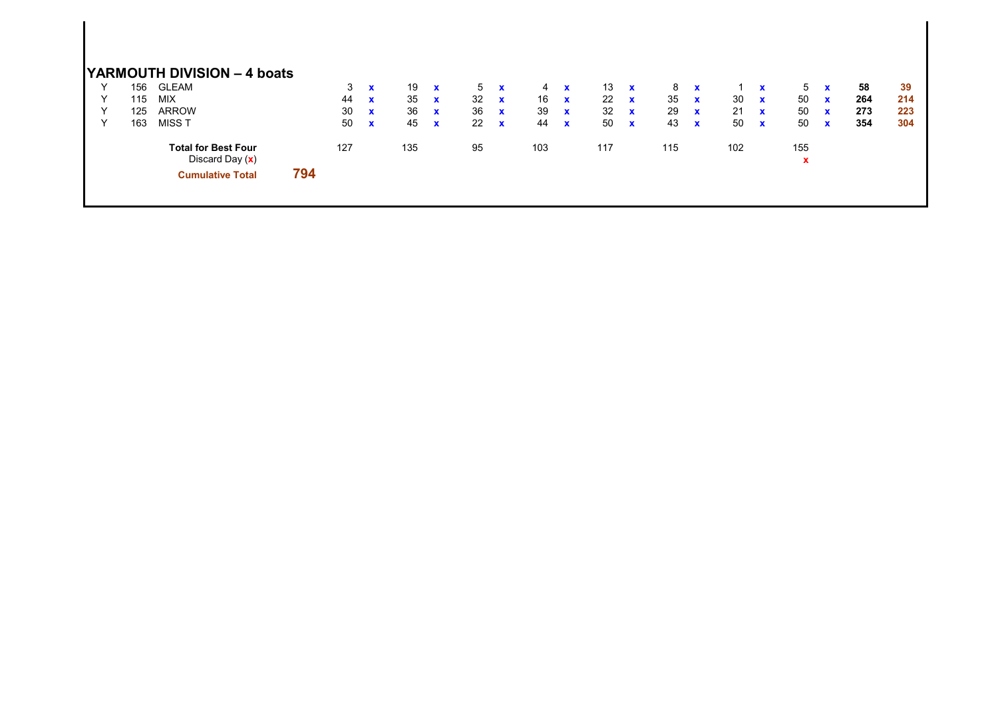|              |     | <b>YARMOUTH DIVISION - 4 boats</b> |     |     |              |     |              |    |              |     |              |     |              |     |              |     |              |     |              |     |     |
|--------------|-----|------------------------------------|-----|-----|--------------|-----|--------------|----|--------------|-----|--------------|-----|--------------|-----|--------------|-----|--------------|-----|--------------|-----|-----|
| $\checkmark$ | 156 | <b>GLEAM</b>                       |     | 3   | $\mathbf{x}$ | 19  | $\mathbf{x}$ | 5  | $\mathbf{x}$ |     | $4 \times$   | 13  | $\mathbf{x}$ | 8   | $\mathbf{x}$ |     | $\mathbf{x}$ | 5   | $\mathbf{x}$ | 58  | -39 |
| $\checkmark$ | 115 | <b>MIX</b>                         |     | 44  | $\mathbf{x}$ | 35  | $\mathbf{x}$ | 32 | $\mathbf{x}$ | 16  | $\mathbf{x}$ | 22  | $\mathbf{x}$ | 35  | $\mathbf{x}$ | 30  | $\mathbf{x}$ | 50  | $\mathbf{x}$ | 264 | 214 |
| Υ            | 125 | <b>ARROW</b>                       |     | 30  | $\mathbf{x}$ | 36  | $\mathbf{x}$ | 36 | $\mathbf x$  | 39  | $\mathbf{x}$ | 32  | $\mathbf{x}$ | 29  | $\mathbf{x}$ | 21  | $\mathbf{x}$ | 50  | $\mathbf{x}$ | 273 | 223 |
| $\vee$       | 163 | MISS T                             |     | 50  | $\mathbf{x}$ | 45  | $\mathbf{x}$ | 22 | $\mathbf x$  | 44  | $\mathbf{x}$ | 50  | $\mathbf{x}$ | 43  | $\mathbf{x}$ | 50  | $\mathbf{x}$ | 50  | $\mathbf{x}$ | 354 | 304 |
|              |     | <b>Total for Best Four</b>         |     | 127 |              | 135 |              | 95 |              | 103 |              | 117 |              | 115 |              | 102 |              | 155 |              |     |     |
|              |     | Discard Day $(x)$                  |     |     |              |     |              |    |              |     |              |     |              |     |              |     |              | x   |              |     |     |
|              |     | <b>Cumulative Total</b>            | 794 |     |              |     |              |    |              |     |              |     |              |     |              |     |              |     |              |     |     |
|              |     |                                    |     |     |              |     |              |    |              |     |              |     |              |     |              |     |              |     |              |     |     |
|              |     |                                    |     |     |              |     |              |    |              |     |              |     |              |     |              |     |              |     |              |     |     |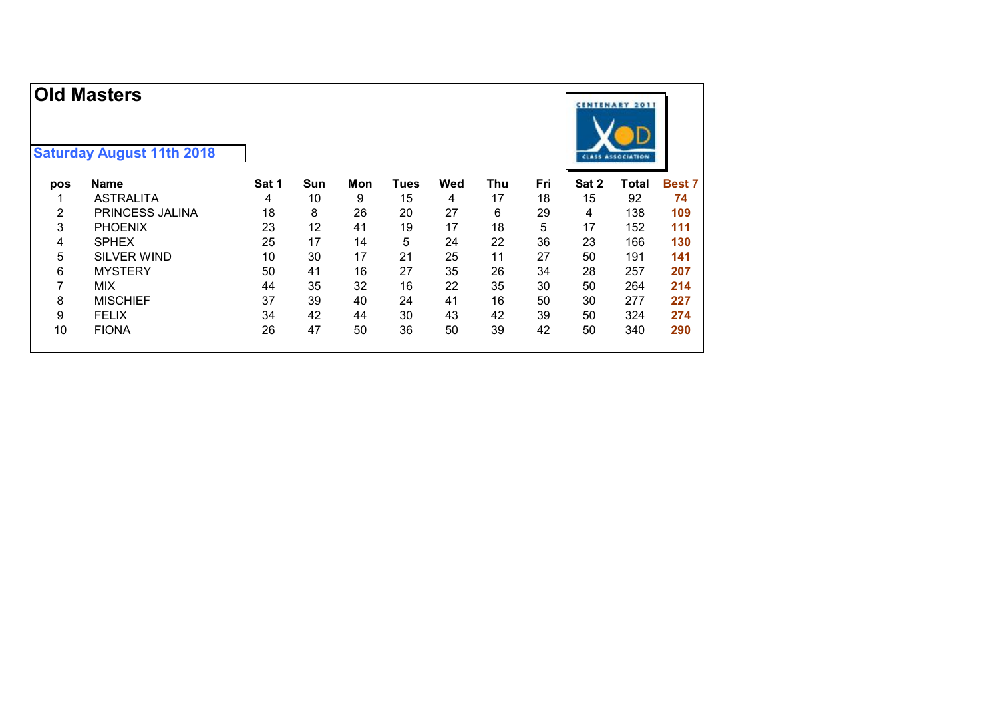|                | <b>Old Masters</b>               |       |     |     |      |     |     |     |       | <b>CENTENARY 2011</b>    |               |
|----------------|----------------------------------|-------|-----|-----|------|-----|-----|-----|-------|--------------------------|---------------|
|                | <b>Saturday August 11th 2018</b> |       |     |     |      |     |     |     |       | <b>CLASS ASSOCIATION</b> |               |
| pos            | <b>Name</b>                      | Sat 1 | Sun | Mon | Tues | Wed | Thu | Fri | Sat 2 | <b>Total</b>             | <b>Best 7</b> |
|                | <b>ASTRALITA</b>                 | 4     | 10  | 9   | 15   | 4   | 17  | 18  | 15    | 92                       | 74            |
| $\overline{2}$ | PRINCESS JALINA                  | 18    | 8   | 26  | 20   | 27  | 6   | 29  | 4     | 138                      | 109           |
| 3              | <b>PHOENIX</b>                   | 23    | 12  | 41  | 19   | 17  | 18  | 5   | 17    | 152                      | 111           |
| 4              | <b>SPHEX</b>                     | 25    | 17  | 14  | 5    | 24  | 22  | 36  | 23    | 166                      | 130           |
| 5              | <b>SILVER WIND</b>               | 10    | 30  | 17  | 21   | 25  | 11  | 27  | 50    | 191                      | 141           |
| 6              | <b>MYSTERY</b>                   | 50    | 41  | 16  | 27   | 35  | 26  | 34  | 28    | 257                      | 207           |
| 7              | <b>MIX</b>                       | 44    | 35  | 32  | 16   | 22  | 35  | 30  | 50    | 264                      | 214           |
| 8              | <b>MISCHIEF</b>                  | 37    | 39  | 40  | 24   | 41  | 16  | 50  | 30    | 277                      | 227           |
| 9              | <b>FELIX</b>                     | 34    | 42  | 44  | 30   | 43  | 42  | 39  | 50    | 324                      | 274           |
| 10             | <b>FIONA</b>                     | 26    | 47  | 50  | 36   | 50  | 39  | 42  | 50    | 340                      | 290           |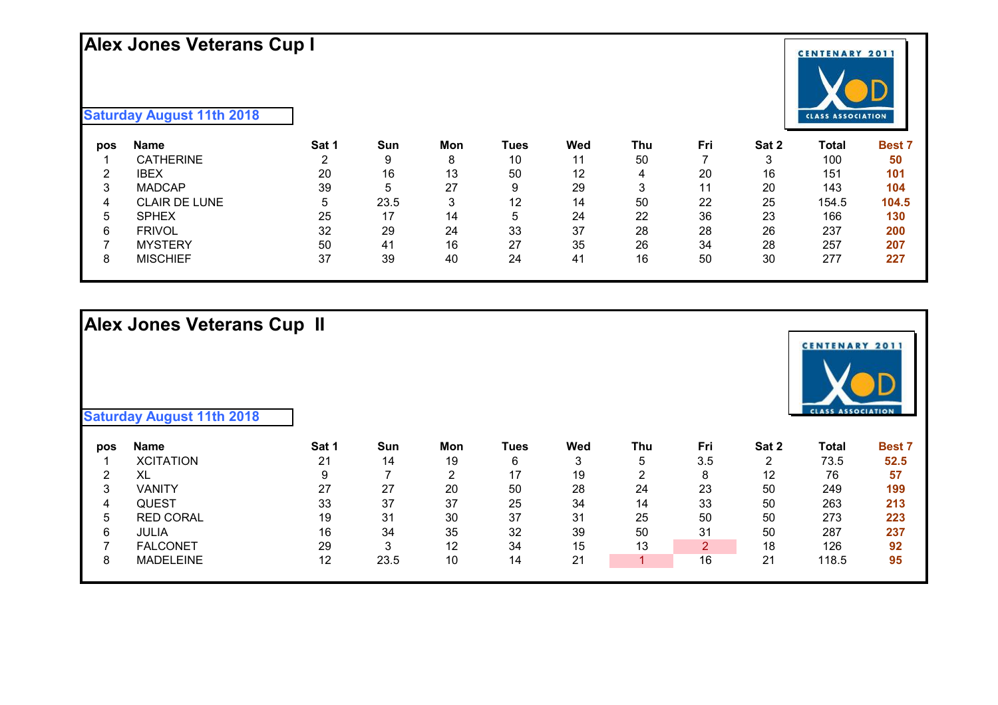# **Alex Jones Veterans Cup I**



**Saturday August 11th 2018**

| pos    | Name                 | Sat 1 | Sun         | Mon | Tues | Wed | Thu | Fri | Sat 2 | Total | <b>Best 7</b> |
|--------|----------------------|-------|-------------|-----|------|-----|-----|-----|-------|-------|---------------|
|        | <b>CATHERINE</b>     |       | 9           | 8   | 10   | 11  | 50  |     |       | 100   | 50            |
| ົ      | IBEX                 | 20    | 16          | 13  | 50   | 12  | 4   | 20  | 16    | 151   | 101           |
| າ<br>ບ | <b>MADCAP</b>        | 39    | $\mathbf b$ | 27  | 9    | 29  | 2   |     | 20    | 143   | 104           |
| 4      | <b>CLAIR DE LUNE</b> | b     | 23.5        |     | 12   | 14  | 50  | 22  | 25    | 154.5 | 104.5         |
| 5      | <b>SPHEX</b>         | 25    | 17          | 14  | 5    | 24  | 22  | 36  | 23    | 166   | 130           |
| 6      | <b>FRIVOL</b>        | 32    | 29          | 24  | 33   | 37  | 28  | 28  | 26    | 237   | 200           |
|        | <b>MYSTERY</b>       | 50    | 41          | 16  | 27   | 35  | 26  | 34  | 28    | 257   | 207           |
| 8      | <b>MISCHIEF</b>      | 37    | 39          | 40  | 24   | 41  | 16  | 50  | 30    | 277   | 227           |

# **Alex Jones Veterans Cup II**

| <b>Saturday August 11th 2018</b> |  |  |  |
|----------------------------------|--|--|--|
|----------------------------------|--|--|--|

| pos | Name             | Sat 1 | Sun  | Mon | Tues | Wed | Thu | Fri | Sat 2 | Total | <b>Best 7</b> |
|-----|------------------|-------|------|-----|------|-----|-----|-----|-------|-------|---------------|
|     | <b>XCITATION</b> | 21    | 14   | 19  | 6    |     | ა   | 3.5 |       | 73.5  | 52.5          |
|     | XL               |       |      | ົ   | 17   | 19  |     | 8   | 12    | 76    | 57            |
| 3   | VANITY           | 27    | 27   | 20  | 50   | 28  | 24  | 23  | 50    | 249   | 199           |
| 4   | QUEST            | 33    | -37  | 37  | 25   | 34  | 14  | 33  | 50    | 263   | 213           |
| b.  | <b>RED CORAL</b> | 19    | 31   | 30  | 37   | 31  | 25  | 50  | 50    | 273   | 223           |
| 6   | <b>JULIA</b>     | 16    | 34   | 35  | 32   | 39  | 50  | 31  | 50    | 287   | 237           |
|     | <b>FALCONET</b>  | 29    | ົ    | 12  | 34   | 15  | 13  | ົ   | 18    | 126   | 92            |
| O   | <b>MADELEINE</b> | 12    | 23.5 | 10  | 14   | 21  |     | 16  | 21    | 18.5  | 95            |
|     |                  |       |      |     |      |     |     |     |       |       |               |

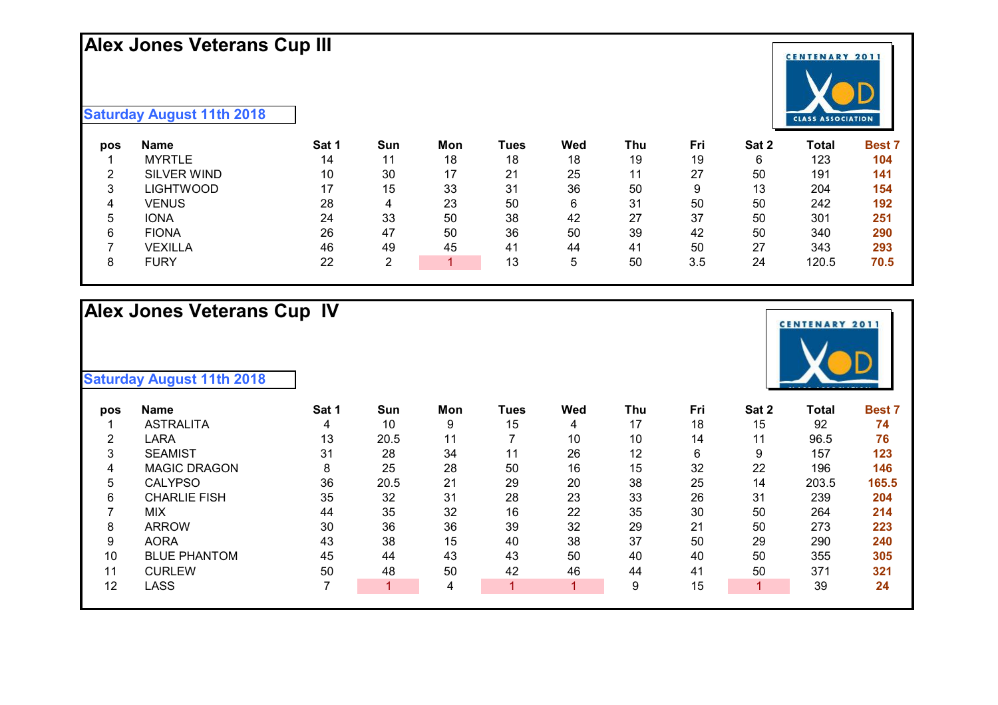#### **Alex Jones Veterans Cup III**



| pos | Name               | Sat 1 | Sun           | Mon | Tues | Wed | Thu | Fri | Sat 2 | Total | <b>Best 7</b> |
|-----|--------------------|-------|---------------|-----|------|-----|-----|-----|-------|-------|---------------|
|     | <b>MYRTLE</b>      | 14    |               | 18  | 18   | 18  | 19  | 19  | 6     | 123   | 104           |
| ົ   | <b>SILVER WIND</b> | 10    | 30            | 17  | 21   | 25  | 11  | 27  | 50    | 191   | 141           |
| 3   | LIGHTWOOD          | 17    | 15            | 33  | 31   | 36  | 50  | 9   | 13    | 204   | 154           |
| 4   | VENUS              | 28    |               | 23  | 50   | 6   | 31  | 50  | 50    | 242   | 192           |
| b.  | <b>IONA</b>        | 24    | 33            | 50  | 38   | 42  | 27  | 37  | 50    | 301   | 251           |
| 6   | <b>FIONA</b>       | 26    | 47            | 50  | 36   | 50  | 39  | 42  | 50    | 340   | 290           |
|     | <b>VEXILLA</b>     | 46    | 49            | 45  | 41   | 44  | 41  | 50  | 27    | 343   | 293           |
|     | FURY               | 22    | റ<br><u>.</u> |     | 13   | 5   | 50  | 3.5 | 24    | 120.5 | 70.5          |

# **Alex Jones Veterans Cup IV**

| pos | <b>Name</b>         | Sat 1 | Sun  | Mon | Tues | Wed | Thu | Fri | Sat 2 | Total | <b>Best 7</b> |
|-----|---------------------|-------|------|-----|------|-----|-----|-----|-------|-------|---------------|
|     | <b>ASTRALITA</b>    |       | 10   | 9   | 15   | 4   | 17  | 18  | 15    | 92    | 74            |
| 2   | LARA                | 13    | 20.5 | 11  |      | 10  | 10  | 14  | 11    | 96.5  | 76            |
| 3   | <b>SEAMIST</b>      | 31    | 28   | 34  | 11   | 26  | 12  | 6   | 9     | 157   | 123           |
| 4   | <b>MAGIC DRAGON</b> | 8     | 25   | 28  | 50   | 16  | 15  | 32  | 22    | 196   | 146           |
| 5   | <b>CALYPSO</b>      | 36    | 20.5 | 21  | 29   | 20  | 38  | 25  | 14    | 203.5 | 165.5         |
| 6   | <b>CHARLIE FISH</b> | 35    | 32   | 31  | 28   | 23  | 33  | 26  | 31    | 239   | 204           |
|     | <b>MIX</b>          | 44    | 35   | 32  | 16   | 22  | 35  | 30  | 50    | 264   | 214           |
| 8   | <b>ARROW</b>        | 30    | 36   | 36  | 39   | 32  | 29  | 21  | 50    | 273   | 223           |
| 9   | <b>AORA</b>         | 43    | 38   | 15  | 40   | 38  | 37  | 50  | 29    | 290   | 240           |
| 10  | <b>BLUE PHANTOM</b> | 45    | 44   | 43  | 43   | 50  | 40  | 40  | 50    | 355   | 305           |
| 11  | <b>CURLEW</b>       | 50    | 48   | 50  | 42   | 46  | 44  | 41  | 50    | 371   | 321           |
| 12  | LASS                |       |      | 4   |      |     | 9   | 15  |       | 39    | 24            |
|     |                     |       |      |     |      |     |     |     |       |       |               |



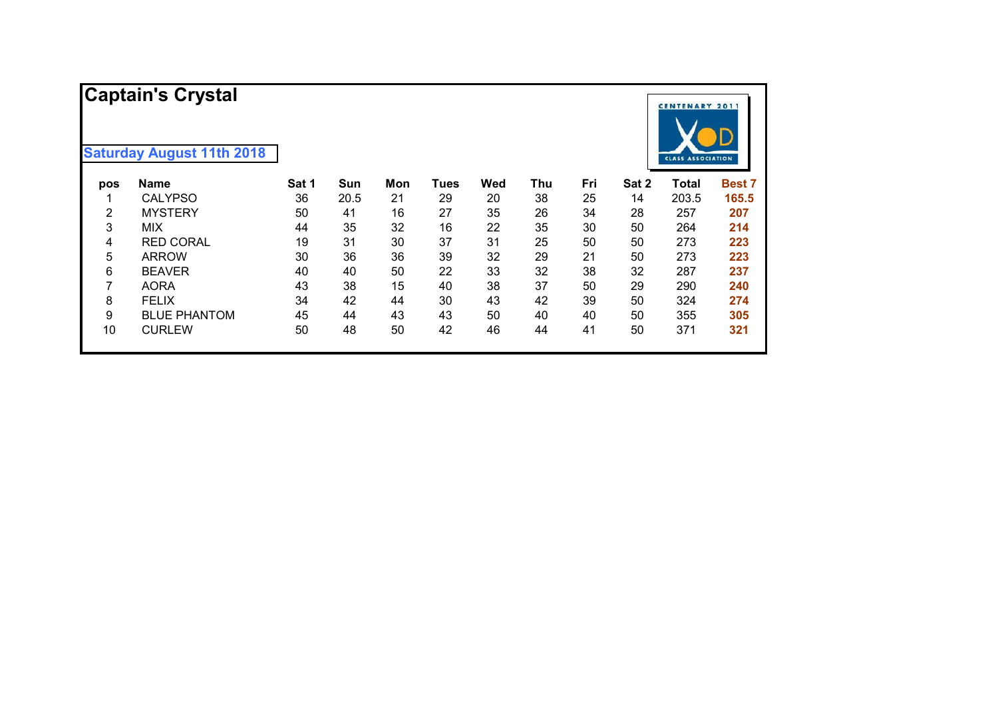|     | <b>Captain's Crystal</b><br><b>Saturday August 11th 2018</b> |       |      |     |      |     |     |     |       | <b>CENTENARY 2011</b>    |               |
|-----|--------------------------------------------------------------|-------|------|-----|------|-----|-----|-----|-------|--------------------------|---------------|
|     |                                                              |       |      |     |      |     |     |     |       | <b>CLASS ASSOCIATION</b> |               |
| pos | <b>Name</b>                                                  | Sat 1 | Sun  | Mon | Tues | Wed | Thu | Fri | Sat 2 | <b>Total</b>             | <b>Best 7</b> |
|     | <b>CALYPSO</b>                                               | 36    | 20.5 | 21  | 29   | 20  | 38  | 25  | 14    | 203.5                    | 165.5         |
| 2   | <b>MYSTERY</b>                                               | 50    | 41   | 16  | 27   | 35  | 26  | 34  | 28    | 257                      | 207           |
| 3   | <b>MIX</b>                                                   | 44    | 35   | 32  | 16   | 22  | 35  | 30  | 50    | 264                      | 214           |
| 4   | <b>RED CORAL</b>                                             | 19    | 31   | 30  | 37   | 31  | 25  | 50  | 50    | 273                      | 223           |
| 5   | <b>ARROW</b>                                                 | 30    | 36   | 36  | 39   | 32  | 29  | 21  | 50    | 273                      | 223           |
| 6   | <b>BEAVER</b>                                                | 40    | 40   | 50  | 22   | 33  | 32  | 38  | 32    | 287                      | 237           |
| 7   | <b>AORA</b>                                                  | 43    | 38   | 15  | 40   | 38  | 37  | 50  | 29    | 290                      | 240           |
| 8   | <b>FELIX</b>                                                 | 34    | 42   | 44  | 30   | 43  | 42  | 39  | 50    | 324                      | 274           |
| 9   | <b>BLUE PHANTOM</b>                                          | 45    | 44   | 43  | 43   | 50  | 40  | 40  | 50    | 355                      | 305           |
| 10  | <b>CURLEW</b>                                                | 50    | 48   | 50  | 42   | 46  | 44  | 41  | 50    | 371                      | 321           |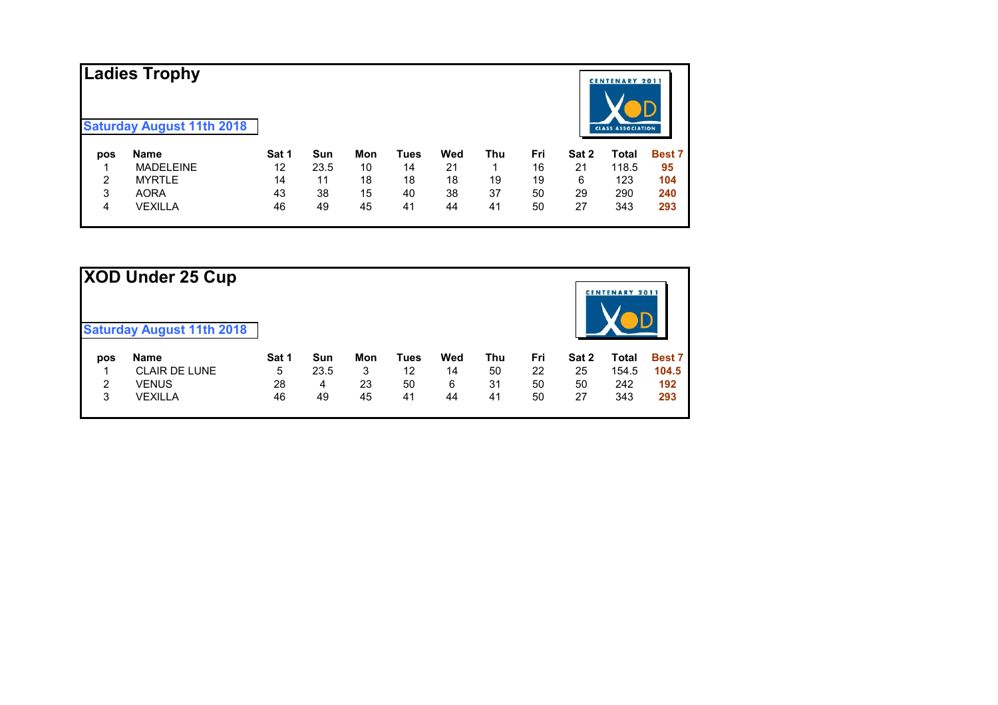|     | Ladies Trophy<br><b>Saturday August 11th 2018</b> |       |      |     |      |     |     |     |       | <b>CENTENARY 2011</b><br><b>CLASS ASSOCIATION</b> |               |
|-----|---------------------------------------------------|-------|------|-----|------|-----|-----|-----|-------|---------------------------------------------------|---------------|
| pos | <b>Name</b>                                       | Sat 1 | Sun  | Mon | Tues | Wed | Thu | Fri | Sat 2 | Total                                             | <b>Best 7</b> |
|     | <b>MADELEINE</b>                                  | 12    | 23.5 | 10  | 14   | 21  |     | 16  | 21    | 118.5                                             | 95            |
| 2   | <b>MYRTLE</b>                                     | 14    | 11   | 18  | 18   | 18  | 19  | 19  | 6     | 123                                               | 104           |
| 3   | <b>AORA</b>                                       | 43    | 38   | 15  | 40   | 38  | 37  | 50  | 29    | 290                                               | 240           |
| 4   | <b>VEXILLA</b>                                    | 46    | 49   | 45  | 41   | 44  | 41  | 50  | 27    | 343                                               | 293           |

| XOD Under 25 Cup |                                  |       |      |     |             |     |     |     |       |                       |               |
|------------------|----------------------------------|-------|------|-----|-------------|-----|-----|-----|-------|-----------------------|---------------|
|                  | <b>Saturday August 11th 2018</b> |       |      |     |             |     |     |     |       | <b>CENTENARY 2011</b> |               |
| pos              | <b>Name</b>                      | Sat 1 | Sun  | Mon | <b>Tues</b> | Wed | Thu | Fri | Sat 2 | <b>Total</b>          | <b>Best 7</b> |
|                  | <b>CLAIR DE LUNE</b>             | 5     | 23.5 | 3   | 12          | 14  | 50  | 22  | 25    | 154.5                 | 104.5         |
| 2                | <b>VENUS</b>                     | 28    | 4    | 23  | 50          | 6   | 31  | 50  | 50    | 242                   | 192           |
| 3                | <b>VEXILLA</b>                   | 46    | 49   | 45  | 41          | 44  | 41  | 50  | 27    | 343                   | 293           |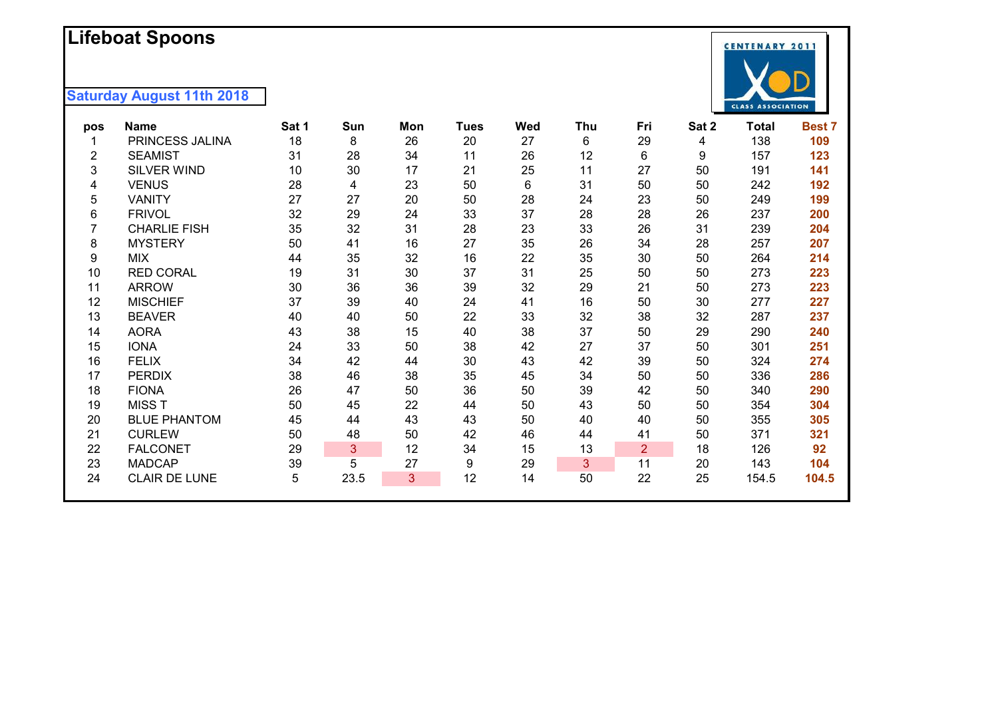# **Lifeboat Spoons**

| pos | <b>Name</b>          | Sat 1 | Sun  | Mon | Tues | Wed | Thu | Fri            | Sat 2 | <b>Total</b> | Best 7 |
|-----|----------------------|-------|------|-----|------|-----|-----|----------------|-------|--------------|--------|
|     | PRINCESS JALINA      | 18    | 8    | 26  | 20   | 27  | 6   | 29             | 4     | 138          | 109    |
| 2   | <b>SEAMIST</b>       | 31    | 28   | 34  | 11   | 26  | 12  | 6              | 9     | 157          | 123    |
| 3   | SILVER WIND          | 10    | 30   | 17  | 21   | 25  | 11  | 27             | 50    | 191          | 141    |
| 4   | <b>VENUS</b>         | 28    | 4    | 23  | 50   | 6   | 31  | 50             | 50    | 242          | 192    |
| 5   | <b>VANITY</b>        | 27    | 27   | 20  | 50   | 28  | 24  | 23             | 50    | 249          | 199    |
| 6   | <b>FRIVOL</b>        | 32    | 29   | 24  | 33   | 37  | 28  | 28             | 26    | 237          | 200    |
|     | <b>CHARLIE FISH</b>  | 35    | 32   | 31  | 28   | 23  | 33  | 26             | 31    | 239          | 204    |
| 8   | <b>MYSTERY</b>       | 50    | 41   | 16  | 27   | 35  | 26  | 34             | 28    | 257          | 207    |
| 9   | <b>MIX</b>           | 44    | 35   | 32  | 16   | 22  | 35  | 30             | 50    | 264          | 214    |
| 10  | <b>RED CORAL</b>     | 19    | 31   | 30  | 37   | 31  | 25  | 50             | 50    | 273          | 223    |
| 11  | <b>ARROW</b>         | 30    | 36   | 36  | 39   | 32  | 29  | 21             | 50    | 273          | 223    |
| 12  | <b>MISCHIEF</b>      | 37    | 39   | 40  | 24   | 41  | 16  | 50             | 30    | 277          | 227    |
| 13  | <b>BEAVER</b>        | 40    | 40   | 50  | 22   | 33  | 32  | 38             | 32    | 287          | 237    |
| 14  | <b>AORA</b>          | 43    | 38   | 15  | 40   | 38  | 37  | 50             | 29    | 290          | 240    |
| 15  | <b>IONA</b>          | 24    | 33   | 50  | 38   | 42  | 27  | 37             | 50    | 301          | 251    |
| 16  | <b>FELIX</b>         | 34    | 42   | 44  | 30   | 43  | 42  | 39             | 50    | 324          | 274    |
| 17  | <b>PERDIX</b>        | 38    | 46   | 38  | 35   | 45  | 34  | 50             | 50    | 336          | 286    |
| 18  | <b>FIONA</b>         | 26    | 47   | 50  | 36   | 50  | 39  | 42             | 50    | 340          | 290    |
| 19  | <b>MISS T</b>        | 50    | 45   | 22  | 44   | 50  | 43  | 50             | 50    | 354          | 304    |
| 20  | <b>BLUE PHANTOM</b>  | 45    | 44   | 43  | 43   | 50  | 40  | 40             | 50    | 355          | 305    |
| 21  | <b>CURLEW</b>        | 50    | 48   | 50  | 42   | 46  | 44  | 41             | 50    | 371          | 321    |
| 22  | <b>FALCONET</b>      | 29    | 3    | 12  | 34   | 15  | 13  | $\overline{2}$ | 18    | 126          | 92     |
| 23  | <b>MADCAP</b>        | 39    | 5    | 27  | 9    | 29  | 3   | 11             | 20    | 143          | 104    |
| 24  | <b>CLAIR DE LUNE</b> | 5     | 23.5 | 3   | 12   | 14  | 50  | 22             | 25    | 154.5        | 104.5  |
|     |                      |       |      |     |      |     |     |                |       |              |        |

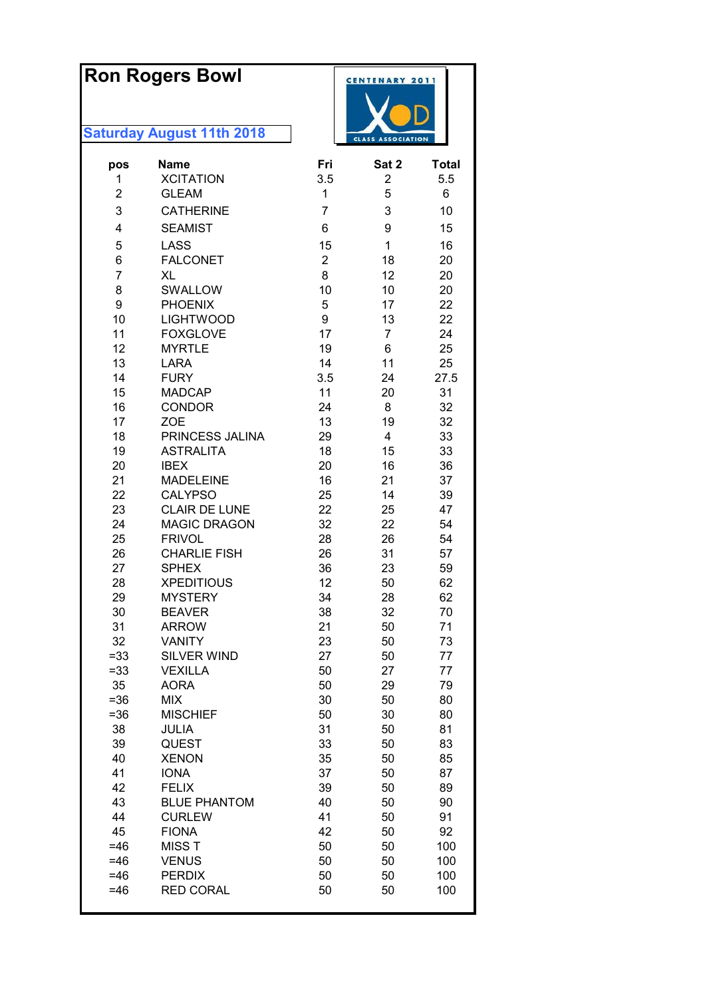|                | <b>Ron Rogers Bowl</b><br><b>Saturday August 11th 2018</b> |                | <b>CENTENARY 2011</b><br><b>CLASS ASSOCIATION</b> |              |  |
|----------------|------------------------------------------------------------|----------------|---------------------------------------------------|--------------|--|
| pos            | <b>Name</b>                                                | Fri            | Sat 2                                             | <b>Total</b> |  |
| 1              | <b>XCITATION</b>                                           | 3.5            | 2                                                 | 5.5          |  |
| $\overline{2}$ | <b>GLEAM</b>                                               | 1              | 5                                                 | 6            |  |
| 3              | <b>CATHERINE</b>                                           | 7              | 3                                                 | 10           |  |
| 4              | <b>SEAMIST</b>                                             | 6              | 9                                                 | 15           |  |
| 5              | <b>LASS</b>                                                | 15             | $\mathbf{1}$                                      | 16           |  |
| 6              | <b>FALCONET</b>                                            | $\overline{2}$ | 18                                                | 20           |  |
| $\overline{7}$ | XL                                                         | 8              | 12                                                | 20           |  |
| 8              | SWALLOW                                                    | 10             | 10                                                | 20           |  |
| 9              | <b>PHOENIX</b>                                             | 5              | 17                                                | 22           |  |
| 10             | <b>LIGHTWOOD</b>                                           | 9              | 13                                                | 22           |  |
| 11             | <b>FOXGLOVE</b>                                            | 17             | 7                                                 | 24           |  |
| 12             | <b>MYRTLE</b>                                              | 19             | 6                                                 | 25           |  |
| 13             | <b>LARA</b>                                                | 14             | 11                                                | 25           |  |
| 14             | <b>FURY</b>                                                | 3.5            | 24                                                | 27.5         |  |
| 15             | <b>MADCAP</b>                                              | 11             | 20                                                | 31           |  |
| 16             | <b>CONDOR</b>                                              | 24             | 8                                                 | 32           |  |
| 17<br>18       | <b>ZOE</b><br>PRINCESS JALINA                              | 13<br>29       | 19<br>4                                           | 32<br>33     |  |
| 19             | <b>ASTRALITA</b>                                           | 18             | 15                                                | 33           |  |
| 20             | <b>IBEX</b>                                                | 20             | 16                                                | 36           |  |
| 21             | <b>MADELEINE</b>                                           | 16             | 21                                                | 37           |  |
| 22             | <b>CALYPSO</b>                                             | 25             | 14                                                | 39           |  |
| 23             | <b>CLAIR DE LUNE</b>                                       | 22             | 25                                                | 47           |  |
| 24             | <b>MAGIC DRAGON</b>                                        | 32             | 22                                                | 54           |  |
| 25             | <b>FRIVOL</b>                                              | 28             | 26                                                | 54           |  |
| 26             | <b>CHARLIE FISH</b>                                        | 26             | 31                                                | 57           |  |
| 27             | <b>SPHEX</b>                                               | 36             | 23                                                | 59           |  |
| 28             | <b>XPEDITIOUS</b>                                          | 12             | 50                                                | 62           |  |
| 29             | <b>MYSTERY</b>                                             | 34             | 28                                                | 62           |  |
| 30<br>31       | <b>BEAVER</b><br><b>ARROW</b>                              | 38<br>21       | 32<br>50                                          | 70<br>71     |  |
| 32             | <b>VANITY</b>                                              | 23             | 50                                                | 73           |  |
| $= 33$         | <b>SILVER WIND</b>                                         | 27             | 50                                                | 77           |  |
| $= 33$         | <b>VEXILLA</b>                                             | 50             | 27                                                | 77           |  |
| 35             | <b>AORA</b>                                                | 50             | 29                                                | 79           |  |
| $= 36$         | <b>MIX</b>                                                 | 30             | 50                                                | 80           |  |
| $= 36$         | <b>MISCHIEF</b>                                            | 50             | 30                                                | 80           |  |
| 38             | JULIA                                                      | 31             | 50                                                | 81           |  |
| 39             | QUEST                                                      | 33             | 50                                                | 83           |  |
| 40             | <b>XENON</b>                                               | 35             | 50                                                | 85           |  |
| 41             | <b>IONA</b>                                                | 37             | 50                                                | 87           |  |
| 42<br>43       | <b>FELIX</b><br><b>BLUE PHANTOM</b>                        | 39<br>40       | 50<br>50                                          | 89<br>90     |  |
| 44             | <b>CURLEW</b>                                              | 41             | 50                                                | 91           |  |
| 45             | <b>FIONA</b>                                               | 42             | 50                                                | 92           |  |
| $=46$          | <b>MISST</b>                                               | 50             | 50                                                | 100          |  |
| $=46$          | <b>VENUS</b>                                               | 50             | 50                                                | 100          |  |
| $=46$          | <b>PERDIX</b>                                              | 50             | 50                                                | 100          |  |
| $=46$          | <b>RED CORAL</b>                                           | 50             | 50                                                | 100          |  |
|                |                                                            |                |                                                   |              |  |